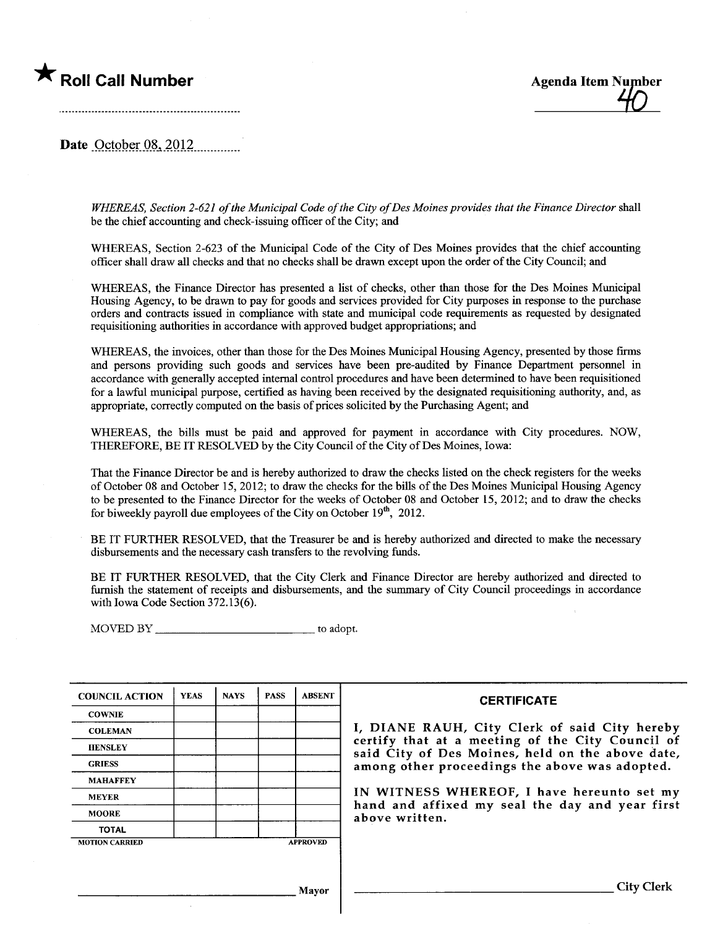



Date October  $08, 2012$ 

WHEREAS, Section 2-621 of the Municipal Code of the City of Des Moines provides that the Finance Director shall be the chief accounting and check-issuing officer of the City; and

WHEREAS, Section 2-623 of the Municipal Code of the City of Des Moines provides that the chief accounting offcer shall draw all checks and that no checks shall be drawn except upon the order of the City Council; and

WHEREAS, the Finance Director has presented a list of checks, other than those for the Des Moines Municipal Housing Agency, to be drawn to pay for goods and services provided for City puroses in response to the purchase orders and contracts issued in compliance with state and municipal code requirements as requested by designated requisitioning authorities in accordance with approved budget appropriations; and

WHEREAS, the invoices, other than those for the Des Moines Municipal Housing Agency, presented by those firms and persons providing such goods and services have been pre-audited by Finance Department personnel in accordance with generally accepted internal control procedures and have been determined to have been requisitioned for a lawful municipal purpose, certified as having been received by the designated requisitioning authority, and, as appropriate, correctly computed on the basis of prices solicited by the Purchasing Agent; and

WHEREAS, the bils must be paid and approved for payment in accordace with City procedures. NOW, THEREFORE, BE IT RESOLVED by the City Council of the City of Des Moines, Iowa:

That the Finance Director be and is hereby authorized to draw the checks listed on the check registers for the weeks of October 08 and October 15, 2012; to draw the checks for the bils of the Des Moines Municipal Housing Agency to be presented to the Finance Director for the weeks of October 08 and October 15, 2012; and to draw the checks for biweekly payroll due employees of the City on October  $19<sup>th</sup>$ , 2012.

BE IT FURTHER RESOLVED, that the Treasurer be and is hereby authorized and directed to make the necessary disbursements and the necessary cash transfers to the revolving fuds.

BE IT FURTHER RESOLVED, that the City Clerk and Finance Director are hereby authorized and directed to furnish the statement of receipts and disbursements, and the summary of City Council proceedings in accordance with Iowa Code Section 372.13(6).

MOVED BY to adopt.

| <b>COUNCIL ACTION</b> | <b>YEAS</b> | <b>NAYS</b> | <b>PASS</b> | <b>ABSENT</b>   |  |
|-----------------------|-------------|-------------|-------------|-----------------|--|
| <b>COWNIE</b>         |             |             |             |                 |  |
| <b>COLEMAN</b>        |             |             |             |                 |  |
| <b>HENSLEY</b>        |             |             |             |                 |  |
| <b>GRIESS</b>         |             |             |             |                 |  |
| <b>MAHAFFEY</b>       |             |             |             |                 |  |
| <b>MEYER</b>          |             |             |             |                 |  |
| <b>MOORE</b>          |             |             |             |                 |  |
| <b>TOTAL</b>          |             |             |             |                 |  |
| <b>MOTION CARRIED</b> |             |             |             | <b>APPROVED</b> |  |

#### **CERTIFICATE**

I, DIANE RAUH, City Clerk of said City hereby certify that at a meeting of the City Council of said City of Des Moines, held on the above date, among other proceedings the above was adopted.

IN WITNESS WHEREOF, I have hereunto set my hand and affixed my seal the day and year first above written.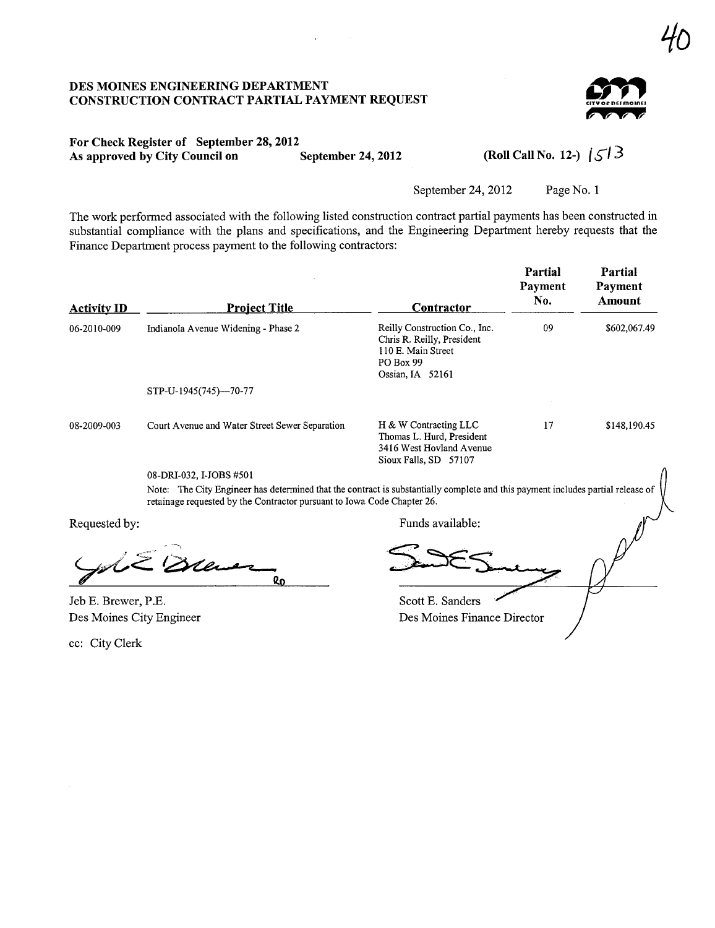#### DES MOINES ENGINEERING DEPARTMENT CONSTRUCTION CONTRACT PARTIAL PAYMENT REQUEST



## For Check Register of September 28, 2012 As approved by City Council on September 24, 2012 (Roll Call No. 12-)  $\sqrt{5/3}$

September 24, 2012 Page No. 1

The work performed associated with the following listed construction contract partial payments has been constructed in substantial compliance with the plans and specifications, and the Engineering Department hereby requests that the Finance Department process payment to the following contractors:

| <b>Activity ID</b> | <b>Project Title</b>                           | Contractor                                                                                                                | Partial<br>Payment<br>No. | Partial<br>Payment<br>Amount |
|--------------------|------------------------------------------------|---------------------------------------------------------------------------------------------------------------------------|---------------------------|------------------------------|
| 06-2010-009        | Indianola Avenue Widening - Phase 2            | Reilly Construction Co., Inc.<br>Chris R. Reilly, President<br>110 E. Main Street<br><b>PO Box 99</b><br>Ossian, IA 52161 | 09                        | \$602,067.49                 |
|                    | STP-U-1945(745)--70-77                         |                                                                                                                           |                           |                              |
| 08-2009-003        | Court Avenue and Water Street Sewer Separation | H & W Contracting LLC<br>Thomas L. Hurd, President<br>3416 West Hovland Avenue<br>Sioux Falls, SD 57107                   | 17                        | \$148,190.45                 |

08-DRI-032, I-JOBS #501

Note: The City Engineer has determined that the contract is substantially complete and this payment includes partial release of retainage requested by the Contractor pursuant to Iowa Code Chapter 26.

equested by:<br>Jul 2 Drewer

Jeb E. Brewer, P.E. Des Moines City Engineer

cc: City Clerk

Requested by: Funds available:

Scott E. Sanders Des Moines Finance Director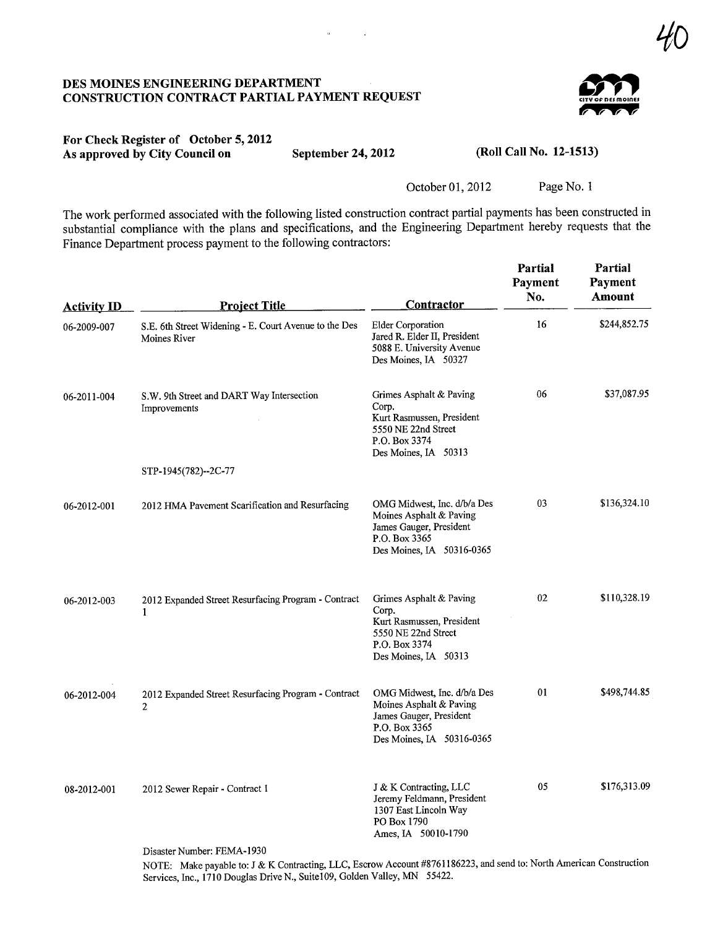#### DES MOINES ENGINEERING DEPARTMENT CONSTRUCTION CONTRACT PARTIAL PAYMENT REQUEST



YL

#### For Check Register of October 5, 2012 As approved by City Council on September 24, 2012 (Roll Call No. 12-1513)

 $\ddot{\phantom{a}}$ 

 $\sim 10$ 

October 01,2012 Page No. 1

The work performed associated with the following listed construction contract partial payments has been constructed in substantial compliance with the plans and specifications, and the Engineering Department hereby requests that the Finance Department process payment to the following contractors:

| <b>Activity ID</b> | <b>Project Title</b>                                                  | Contractor                                                                                                                      | Partial<br>Payment<br>No. | Partial<br>Payment<br>Amount |
|--------------------|-----------------------------------------------------------------------|---------------------------------------------------------------------------------------------------------------------------------|---------------------------|------------------------------|
| 06-2009-007        | S.E. 6th Street Widening - E. Court Avenue to the Des<br>Moines River | <b>Elder Corporation</b><br>Jared R. Elder II, President<br>5088 E. University Avenue<br>Des Moines, IA 50327                   | 16                        | \$244,852.75                 |
| 06-2011-004        | S.W. 9th Street and DART Way Intersection<br>Improvements             | Grimes Asphalt & Paving<br>Corp.<br>Kurt Rasmussen, President<br>5550 NE 22nd Street<br>P.O. Box 3374<br>Des Moines, IA 50313   | 06                        | \$37,087.95                  |
|                    | STP-1945(782)--2C-77                                                  |                                                                                                                                 |                           |                              |
| 06-2012-001        | 2012 HMA Pavement Scarification and Resurfacing                       | OMG Midwest, Inc. d/b/a Des<br>Moines Asphalt & Paving<br>James Gauger, President<br>P.O. Box 3365<br>Des Moines, IA 50316-0365 | 03                        | \$136,324.10                 |
| 06-2012-003        | 2012 Expanded Street Resurfacing Program - Contract<br>1              | Grimes Asphalt & Paving<br>Corp.<br>Kurt Rasmussen, President<br>5550 NE 22nd Street<br>P.O. Box 3374<br>Des Moines, IA 50313   | 02                        | \$110,328.19                 |
| 06-2012-004        | 2012 Expanded Street Resurfacing Program - Contract<br>$\overline{2}$ | OMG Midwest, Inc. d/b/a Des<br>Moines Asphalt & Paving<br>James Gauger, President<br>P.O. Box 3365<br>Des Moines, IA 50316-0365 | 01                        | \$498,744.85                 |
| 08-2012-001        | 2012 Sewer Repair - Contract 1                                        | J & K Contracting, LLC<br>Jeremy Feldmann, President<br>1307 East Lincoln Way<br>PO Box 1790<br>Ames, IA 50010-1790             | 05                        | \$176,313.09                 |
|                    | Disaster Number: FEMA-1930                                            |                                                                                                                                 |                           |                              |

NOTE: Make payable to: J & K Contracting, LLC, Escrow Account #8761186223, and send to: North American Construction Services, Inc., 1710 Douglas Drive N., Suite109, Golden Valley, MN 55422.